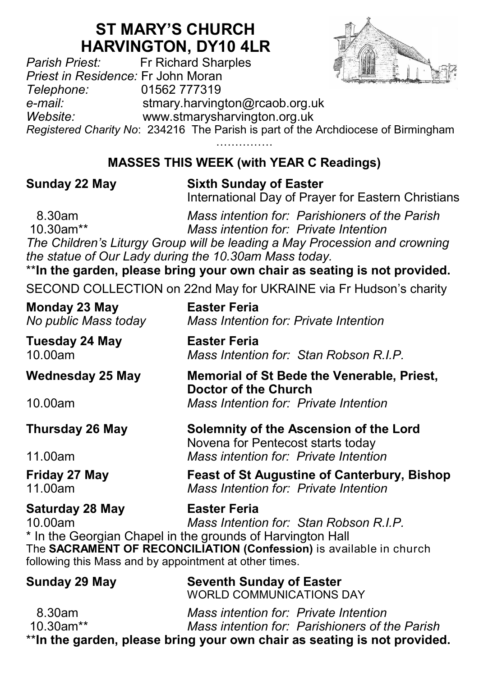# **ST MARY'S CHURCH HARVINGTON, DY10 4LR**<br>Fr Richard Sharples



*Pr Richard Sharples Priest in Residence:* Fr John Moran *Telephone:* 01562 777319 *e-mail:* stmary.harvington@rcaob.org.uk *Website:* www.stmarysharvington.org.uk *Registered Charity No*: 234216 The Parish is part of the Archdiocese of Birmingham

………………

# **MASSES THIS WEEK (with YEAR C Readings)**

### **Sunday 22 May Sixth Sunday of Easter**

International Day of Prayer for Eastern Christians

 8.30am *Mass intention for: Parishioners of the Parish* **Mass intention for: Private Intention** 

*The Children's Liturgy Group will be leading a May Procession and crowning the statue of Our Lady during the 10.30am Mass today.*

\*\***In the garden, please bring your own chair as seating is not provided.**

SECOND COLLECTION on 22nd May for UKRAINE via Fr Hudson's charity

| Monday 23 May<br>No public Mass today                                                       | <b>Easter Feria</b><br>Mass Intention for: Private Intention                                                                                                                                |
|---------------------------------------------------------------------------------------------|---------------------------------------------------------------------------------------------------------------------------------------------------------------------------------------------|
| Tuesday 24 May<br>10.00am                                                                   | Easter Feria<br>Mass Intention for: Stan Robson R.I.P.                                                                                                                                      |
| <b>Wednesday 25 May</b>                                                                     | Memorial of St Bede the Venerable, Priest,<br><b>Doctor of the Church</b>                                                                                                                   |
| 10.00am                                                                                     | Mass Intention for: Private Intention                                                                                                                                                       |
| Thursday 26 May                                                                             | Solemnity of the Ascension of the Lord<br>Novena for Pentecost starts today                                                                                                                 |
| 11.00am                                                                                     | Mass intention for: Private Intention                                                                                                                                                       |
| Friday 27 May<br>11.00am                                                                    | <b>Feast of St Augustine of Canterbury, Bishop</b><br>Mass Intention for: Private Intention                                                                                                 |
| <b>Saturday 28 May</b><br>10.00am<br>following this Mass and by appointment at other times. | Easter Feria<br>Mass Intention for: Stan Robson R.I.P.<br>* In the Georgian Chapel in the grounds of Harvington Hall<br>The SACRAMENT OF RECONCILIATION (Confession) is available in church |
| Sunday 29 May                                                                               | <b>Seventh Sunday of Easter</b><br><b>WORLD COMMUNICATIONS DAY</b>                                                                                                                          |
| 8.30am<br>10.30am**                                                                         | Mass intention for: Private Intention<br>Mass intention for: Parishioners of the Parish<br>**In the garden, please bring your own chair as seating is not provided.                         |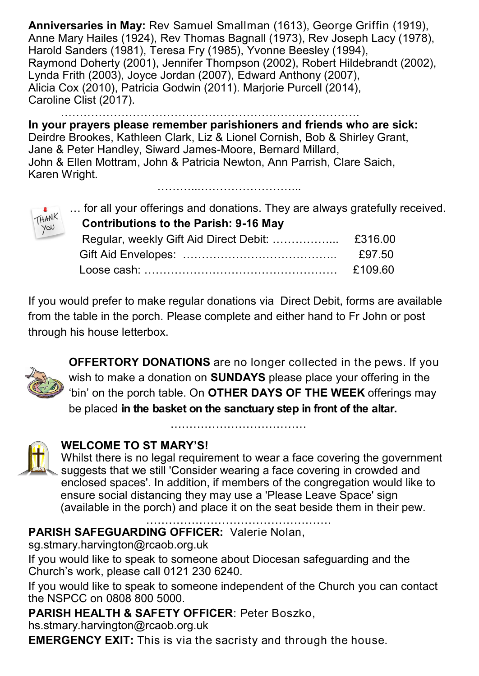**Anniversaries in May:** Rev Samuel Smallman (1613), George Griffin (1919), Anne Mary Hailes (1924), Rev Thomas Bagnall (1973), Rev Joseph Lacy (1978), Harold Sanders (1981), Teresa Fry (1985), Yvonne Beesley (1994), Raymond Doherty (2001), Jennifer Thompson (2002), Robert Hildebrandt (2002), Lynda Frith (2003), Joyce Jordan (2007), Edward Anthony (2007), Alicia Cox (2010), Patricia Godwin (2011). Marjorie Purcell (2014), Caroline Clist (2017).

……………………………………………………………………. **In your prayers please remember parishioners and friends who are sick:**  Deirdre Brookes, Kathleen Clark, Liz & Lionel Cornish, Bob & Shirley Grant, Jane & Peter Handley, Siward James-Moore, Bernard Millard, John & Ellen Mottram, John & Patricia Newton, Ann Parrish, Clare Saich, Karen Wright. ………...……………………...

HANK YOU

… for all your offerings and donations. They are always gratefully received.  **Contributions to the Parish: 9-16 May**

| $\gamma_{\infty}$ | Contributions to the Parish: 9-16 May |         |  |
|-------------------|---------------------------------------|---------|--|
|                   |                                       |         |  |
|                   |                                       | £97.50  |  |
|                   |                                       | £109.60 |  |

If you would prefer to make regular donations via Direct Debit, forms are available from the table in the porch. Please complete and either hand to Fr John or post through his house letterbox.



**OFFERTORY DONATIONS** are no longer collected in the pews. If you wish to make a donation on **SUNDAYS** please place your offering in the 'bin' on the porch table. On **OTHER DAYS OF THE WEEK** offerings may be placed **in the basket on the sanctuary step in front of the altar.** 



## **WELCOME TO ST MARY'S!**

Whilst there is no legal requirement to wear a face covering the government suggests that we still 'Consider wearing a face covering in crowded and enclosed spaces'. In addition, if members of the congregation would like to ensure social distancing they may use a 'Please Leave Space' sign (available in the porch) and place it on the seat beside them in their pew.

………………………………………….

**PARISH SAFEGUARDING OFFICER:** Valerie Nolan,

sg.stmary.harvington@rcaob.org.uk

If you would like to speak to someone about Diocesan safeguarding and the Church's work, please call 0121 230 6240.

If you would like to speak to someone independent of the Church you can contact the NSPCC on 0808 800 5000.

**PARISH HEALTH & SAFETY OFFICER**: Peter Boszko,

hs.stmary.harvington@rcaob.org.uk

**EMERGENCY EXIT:** This is via the sacristy and through the house.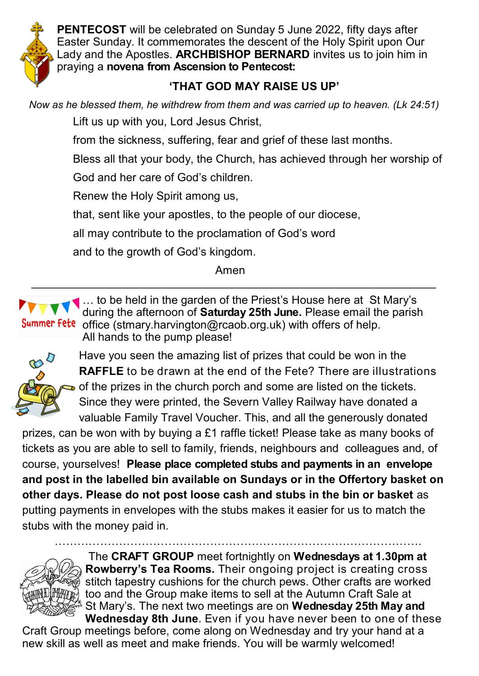

**PENTECOST** will be celebrated on Sunday 5 June 2022, fifty days after Easter Sunday. It commemorates the descent of the Holy Spirit upon Our Lady and the Apostles. **ARCHBISHOP BERNARD** invites us to join him in praying a **novena from Ascension to Pentecost:**

## **'THAT GOD MAY RAISE US UP'**

*Now as he blessed them, he withdrew from them and was carried up to heaven. (Lk 24:51)* Lift us up with you, Lord Jesus Christ,

from the sickness, suffering, fear and grief of these last months.

Bless all that your body, the Church, has achieved through her worship of

God and her care of God's children.

Renew the Holy Spirit among us,

that, sent like your apostles, to the people of our diocese,

all may contribute to the proclamation of God's word

and to the growth of God's kingdom.

#### Amen \_\_\_\_\_\_\_\_\_\_\_\_\_\_\_\_\_\_\_\_\_\_\_\_\_\_\_\_\_\_\_\_\_\_\_\_\_\_\_\_\_\_\_\_\_\_\_\_\_\_\_\_\_\_\_\_\_\_\_\_\_\_\_\_

... to be held in the garden of the Priest's House here at St Mary's during the afternoon of **Saturday 25th June.** Please email the parish Summer Fete office (stmary.harvington@rcaob.org.uk) with offers of help. All hands to the pump please!



Have you seen the amazing list of prizes that could be won in the **RAFFLE** to be drawn at the end of the Fete? There are illustrations of the prizes in the church porch and some are listed on the tickets. Since they were printed, the Severn Valley Railway have donated a valuable Family Travel Voucher. This, and all the generously donated

prizes, can be won with by buying a £1 raffle ticket! Please take as many books of tickets as you are able to sell to family, friends, neighbours and colleagues and, of course, yourselves! **Please place completed stubs and payments in an envelope and post in the labelled bin available on Sundays or in the Offertory basket on other days. Please do not post loose cash and stubs in the bin or basket** as putting payments in envelopes with the stubs makes it easier for us to match the stubs with the money paid in.

…………………………………………………………………………………….



The **CRAFT GROUP** meet fortnightly on **Wednesdays at 1.30pm at Rowberry's Tea Rooms.** Their ongoing project is creating cross stitch tapestry cushions for the church pews. Other crafts are worked too and the Group make items to sell at the Autumn Craft Sale at St Mary's. The next two meetings are on **Wednesday 25th May and** 

**Wednesday 8th June**. Even if you have never been to one of these Craft Group meetings before, come along on Wednesday and try your hand at a new skill as well as meet and make friends. You will be warmly welcomed!